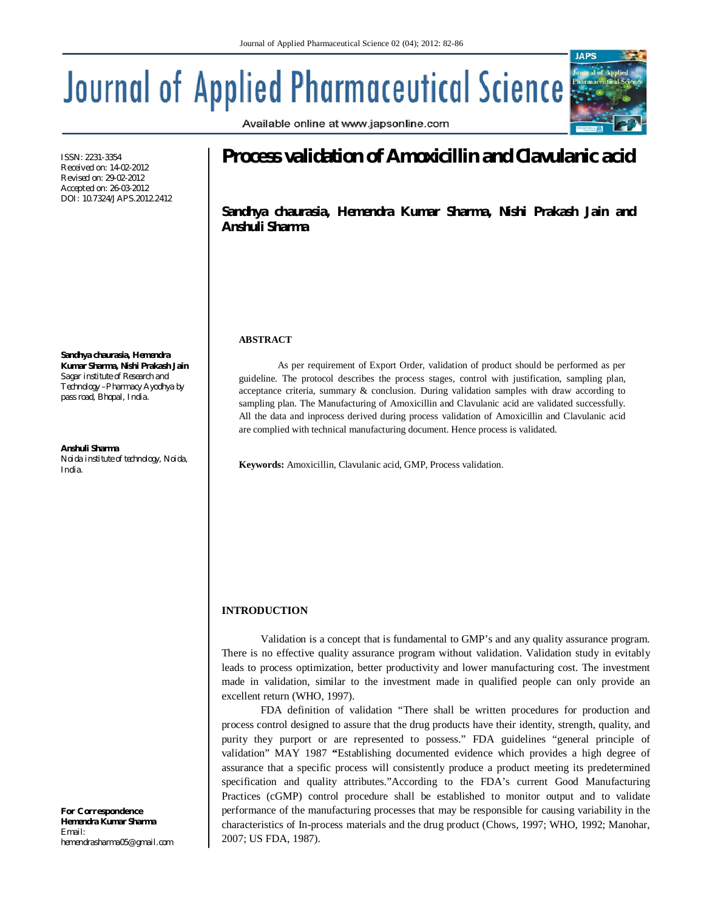# **Journal of Applied Pharmaceutical Science**

Available online at www.japsonline.com



ISSN: 2231-3354 Received on: 14-02-2012 Revised on: 29-02-2012 Accepted on: 26-03-2012 DOI: 10.7324/JAPS.2012.2412

**Sandhya chaurasia, Hemendra Kumar Sharma, Nishi Prakash Jain** *Sagar institute of Research and Technology –Pharmacy Ayodhya by pass road, Bhopal, India.*

**Anshuli Sharma** *Noida institute of technology, Noida, India.*

*For Correspondence* **Hemendra Kumar Sharma** *Email: hemendrasharma05@gmail.com*

# **Process validation of Amoxicillin and Clavulanic acid**

**Sandhya chaurasia, Hemendra Kumar Sharma, Nishi Prakash Jain and Anshuli Sharma**

# **ABSTRACT**

As per requirement of Export Order, validation of product should be performed as per guideline. The protocol describes the process stages, control with justification, sampling plan, acceptance criteria, summary & conclusion. During validation samples with draw according to sampling plan. The Manufacturing of Amoxicillin and Clavulanic acid are validated successfully. All the data and inprocess derived during process validation of Amoxicillin and Clavulanic acid are complied with technical manufacturing document. Hence process is validated.

**Keywords:** Amoxicillin, Clavulanic acid, GMP, Process validation.

# **INTRODUCTION**

Validation is a concept that is fundamental to GMP's and any quality assurance program. There is no effective quality assurance program without validation. Validation study in evitably leads to process optimization, better productivity and lower manufacturing cost. The investment made in validation, similar to the investment made in qualified people can only provide an excellent return (WHO, 1997).

FDA definition of validation "There shall be written procedures for production and process control designed to assure that the drug products have their identity, strength, quality, and purity they purport or are represented to possess." FDA guidelines "general principle of validation" MAY 1987 **"**Establishing documented evidence which provides a high degree of assurance that a specific process will consistently produce a product meeting its predetermined specification and quality attributes."According to the FDA's current Good Manufacturing Practices (cGMP) control procedure shall be established to monitor output and to validate performance of the manufacturing processes that may be responsible for causing variability in the characteristics of In-process materials and the drug product (Chows, 1997; WHO, 1992; Manohar, 2007; US FDA, 1987).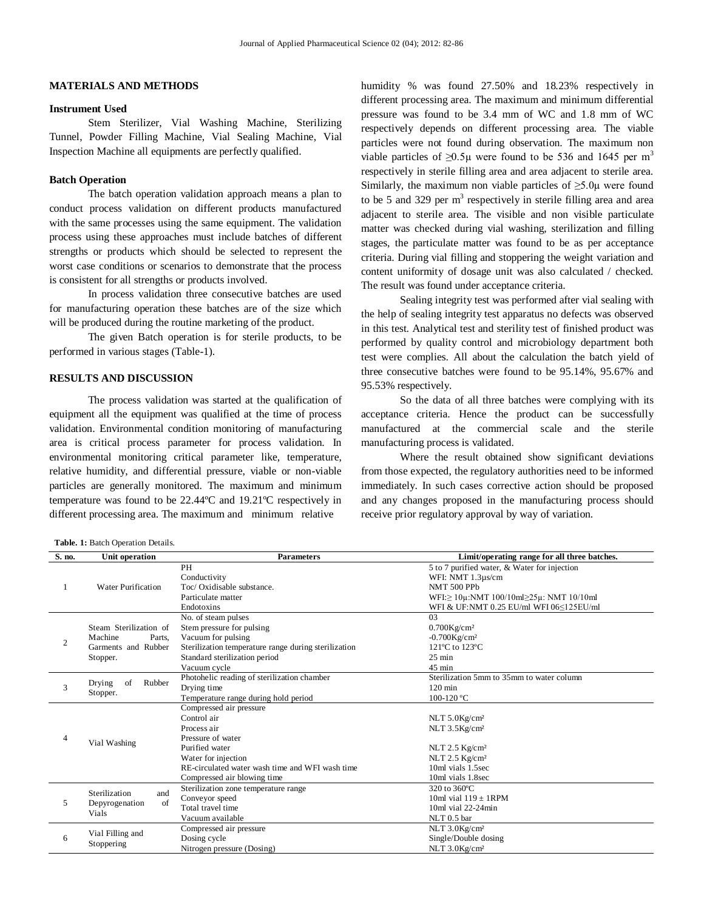## **MATERIALS AND METHODS**

# **Instrument Used**

Stem Sterilizer, Vial Washing Machine, Sterilizing Tunnel, Powder Filling Machine, Vial Sealing Machine, Vial Inspection Machine all equipments are perfectly qualified.

#### **Batch Operation**

The batch operation validation approach means a plan to conduct process validation on different products manufactured with the same processes using the same equipment. The validation process using these approaches must include batches of different strengths or products which should be selected to represent the worst case conditions or scenarios to demonstrate that the process is consistent for all strengths or products involved.

In process validation three consecutive batches are used for manufacturing operation these batches are of the size which will be produced during the routine marketing of the product.

The given Batch operation is for sterile products, to be performed in various stages (Table-1).

# **RESULTS AND DISCUSSION**

The process validation was started at the qualification of equipment all the equipment was qualified at the time of process validation. Environmental condition monitoring of manufacturing area is critical process parameter for process validation. In environmental monitoring critical parameter like, temperature, relative humidity, and differential pressure, viable or non-viable particles are generally monitored. The maximum and minimum temperature was found to be 22.44ºC and 19.21ºC respectively in different processing area. The maximum and minimum relative

**Table. 1:** Batch Operation Details.

humidity % was found 27.50% and 18.23% respectively in different processing area. The maximum and minimum differential pressure was found to be 3.4 mm of WC and 1.8 mm of WC respectively depends on different processing area. The viable particles were not found during observation. The maximum non viable particles of  $\geq 0.5\mu$  were found to be 536 and 1645 per m<sup>3</sup> respectively in sterile filling area and area adjacent to sterile area. Similarly, the maximum non viable particles of  $\geq 5.0\mu$  were found to be 5 and 329 per  $m<sup>3</sup>$  respectively in sterile filling area and area adjacent to sterile area. The visible and non visible particulate matter was checked during vial washing, sterilization and filling stages, the particulate matter was found to be as per acceptance criteria. During vial filling and stoppering the weight variation and content uniformity of dosage unit was also calculated / checked. The result was found under acceptance criteria.

Sealing integrity test was performed after vial sealing with the help of sealing integrity test apparatus no defects was observed in this test. Analytical test and sterility test of finished product was performed by quality control and microbiology department both test were complies. All about the calculation the batch yield of three consecutive batches were found to be 95.14%, 95.67% and 95.53% respectively.

So the data of all three batches were complying with its acceptance criteria. Hence the product can be successfully manufactured at the commercial scale and the sterile manufacturing process is validated.

Where the result obtained show significant deviations from those expected, the regulatory authorities need to be informed immediately. In such cases corrective action should be proposed and any changes proposed in the manufacturing process should receive prior regulatory approval by way of variation.

| S. no. | Unit operation            | <b>Parameters</b>                                    | Limit/operating range for all three batches.               |
|--------|---------------------------|------------------------------------------------------|------------------------------------------------------------|
|        |                           | PH                                                   | 5 to 7 purified water, & Water for injection               |
|        |                           | Conductivity                                         | WFI: NMT 1.3µs/cm                                          |
|        | <b>Water Purification</b> | Toc/ Oxidisable substance.                           | NMT 500 PPb                                                |
|        |                           | Particulate matter                                   | $WFI: \geq 10\mu$ :NMT 100/10ml $\geq 25\mu$ : NMT 10/10ml |
|        |                           | Endotoxins                                           | WFI & UF:NMT 0.25 EU/ml WFI 06 5125 EU/ml                  |
|        |                           | No. of steam pulses                                  | 03                                                         |
|        | Steam Sterilization of    | Stem pressure for pulsing                            | $0.700$ Kg/cm <sup>2</sup>                                 |
| 2      | Machine<br>Parts.         | Vacuum for pulsing                                   | $-0.700Kg/cm^2$                                            |
|        | Garments and Rubber       | Sterilization temperature range during sterilization | 121°C to 123°C                                             |
|        | Stopper.                  | Standard sterilization period                        | $25 \text{ min}$                                           |
|        |                           | Vacuum cycle                                         | $45 \text{ min}$                                           |
|        | Drying<br>Rubber<br>of    | Photohelic reading of sterilization chamber          | Sterilization 5mm to 35mm to water column                  |
| 3      |                           | Drying time                                          | $120 \text{ min}$                                          |
|        | Stopper.                  | Temperature range during hold period                 | 100-120 °C                                                 |
|        |                           | Compressed air pressure                              |                                                            |
|        |                           | Control air                                          | NLT 5.0Kg/cm <sup>2</sup>                                  |
|        |                           | Process air                                          | NLT 3.5Kg/cm <sup>2</sup>                                  |
| 4      | Vial Washing              | Pressure of water                                    |                                                            |
|        |                           | Purified water                                       | NLT $2.5$ Kg/cm <sup>2</sup>                               |
|        |                           | Water for injection                                  | NLT 2.5 Kg/cm <sup>2</sup>                                 |
|        |                           | RE-circulated water wash time and WFI wash time      | 10ml vials 1.5sec                                          |
|        |                           | Compressed air blowing time                          | 10ml vials 1.8sec                                          |
|        | Sterilization<br>and      | Sterilization zone temperature range                 | 320 to 360°C                                               |
| 5      | of<br>Depyrogenation      | Conveyor speed                                       | 10ml vial $119 \pm 1$ RPM                                  |
|        | Vials                     | Total travel time                                    | $10ml$ vial $22-24min$                                     |
|        |                           | Vacuum available                                     | $NLT$ 0.5 bar                                              |
|        | Vial Filling and          | Compressed air pressure                              | NLT 3.0Kg/cm <sup>2</sup>                                  |
| 6      | Stoppering                | Dosing cycle                                         | Single/Double dosing                                       |
|        |                           | Nitrogen pressure (Dosing)                           | NLT 3.0Kg/cm <sup>2</sup>                                  |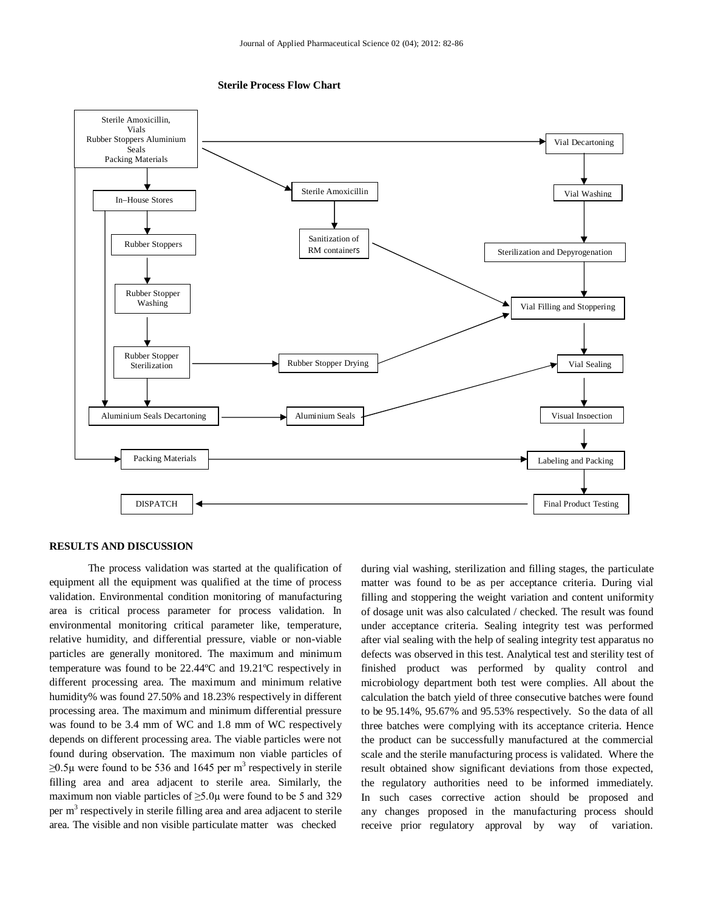



#### **RESULTS AND DISCUSSION**

The process validation was started at the qualification of equipment all the equipment was qualified at the time of process validation. Environmental condition monitoring of manufacturing area is critical process parameter for process validation. In environmental monitoring critical parameter like, temperature, relative humidity, and differential pressure, viable or non-viable particles are generally monitored. The maximum and minimum temperature was found to be 22.44ºC and 19.21ºC respectively in different processing area. The maximum and minimum relative humidity% was found 27.50% and 18.23% respectively in different processing area. The maximum and minimum differential pressure was found to be 3.4 mm of WC and 1.8 mm of WC respectively depends on different processing area. The viable particles were not found during observation. The maximum non viable particles of  $≥0.5\mu$  were found to be 536 and 1645 per m<sup>3</sup> respectively in sterile filling area and area adjacent to sterile area. Similarly, the maximum non viable particles of  $\geq$ 5.0 $\mu$  were found to be 5 and 329 per m<sup>3</sup> respectively in sterile filling area and area adjacent to sterile area. The visible and non visible particulate matter was checked

during vial washing, sterilization and filling stages, the particulate matter was found to be as per acceptance criteria. During vial filling and stoppering the weight variation and content uniformity of dosage unit was also calculated / checked. The result was found under acceptance criteria. Sealing integrity test was performed after vial sealing with the help of sealing integrity test apparatus no defects was observed in this test. Analytical test and sterility test of finished product was performed by quality control and microbiology department both test were complies. All about the calculation the batch yield of three consecutive batches were found to be 95.14%, 95.67% and 95.53% respectively. So the data of all three batches were complying with its acceptance criteria. Hence the product can be successfully manufactured at the commercial scale and the sterile manufacturing process is validated. Where the result obtained show significant deviations from those expected, the regulatory authorities need to be informed immediately. In such cases corrective action should be proposed and any changes proposed in the manufacturing process should receive prior regulatory approval by way of variation.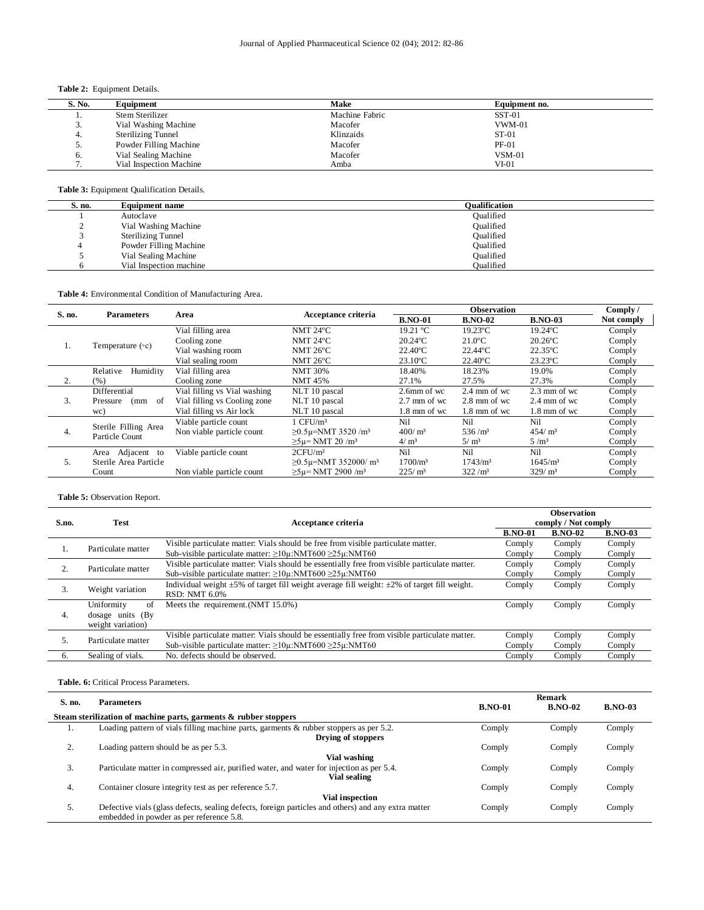# **Table 2:** Equipment Details.

| S. No. | Equipment                 | Make           | Equipment no. |
|--------|---------------------------|----------------|---------------|
|        | Stem Sterilizer           | Machine Fabric | $SST-01$      |
| J.     | Vial Washing Machine      | Macofer        | $VWM-01$      |
| 4.     | <b>Sterilizing Tunnel</b> | Klinzaids      | $ST-01$       |
| J.     | Powder Filling Machine    | Macofer        | $PF-01$       |
| 6.     | Vial Sealing Machine      | Macofer        | $VSM-01$      |
|        | Vial Inspection Machine   | Amba           | $VI-01$       |

**Table 3:** Equipment Qualification Details.

| S. no. | Equipment name            | Oualification |
|--------|---------------------------|---------------|
|        | Autoclave                 | Oualified     |
|        | Vial Washing Machine      | Oualified     |
|        | <b>Sterilizing Tunnel</b> | Oualified     |
|        | Powder Filling Machine    | Oualified     |
|        | Vial Sealing Machine      | Oualified     |
|        | Vial Inspection machine   | Oualified     |

## **Table 4:** Environmental Condition of Manufacturing Area.

| S. no. | <b>Parameters</b>       | Area                         | Acceptance criteria                    | <b>Observation</b>     |                        |                        | Comply/    |
|--------|-------------------------|------------------------------|----------------------------------------|------------------------|------------------------|------------------------|------------|
|        |                         |                              |                                        | <b>B.NO-01</b>         | <b>B.NO-02</b>         | <b>B.NO-03</b>         | Not comply |
|        |                         | Vial filling area            | NMT 24°C                               | 19.21 °C               | $19.23$ °C             | $19.24$ °C             | Comply     |
|        | Temperature $(\circ c)$ | Cooling zone                 | NMT 24°C                               | $20.24$ <sup>o</sup> C | $21.0$ <sup>o</sup> C  | $20.26$ °C             | Comply     |
| 1.     |                         | Vial washing room            | NMT $26^{\circ}$ C                     | $22.40^{\circ}$ C      | $22.44$ <sup>o</sup> C | $22.35^{\circ}$ C      | Comply     |
|        |                         | Vial sealing room            | NMT $26^{\circ}$ C                     | $23.10^{\circ}$ C      | $22.40^{\circ}$ C      | 23.23°C                | Comply     |
|        | Humidity<br>Relative    | Vial filling area            | <b>NMT 30%</b>                         | 18.40%                 | 18.23%                 | 19.0%                  | Comply     |
| 2.     | (% )                    | Cooling zone                 | <b>NMT 45%</b>                         | 27.1%                  | 27.5%                  | 27.3%                  | Comply     |
|        | Differential            | Vial filling vs Vial washing | NLT 10 pascal                          | 2.6mm of wc            | $2.4 \text{ mm of we}$ | $2.3 \text{ mm of we}$ | Comply     |
| 3.     | of<br>Pressure<br>(mm   | Vial filling vs Cooling zone | NLT 10 pascal                          | $2.7 \text{ mm of we}$ | 2.8 mm of wc           | $2.4 \text{ mm of we}$ | Comply     |
|        | wc)                     | Vial filling vs Air lock     | NLT 10 pascal                          | $1.8 \text{ mm of we}$ | $1.8 \text{ mm of we}$ | $1.8 \text{ mm of we}$ | Comply     |
| 4.     | Sterile Filling Area    | Viable particle count        | $1$ CFU/ $m3$                          | Ni1                    | Nil                    | Nil                    | Comply     |
|        | Particle Count          | Non viable particle count    | $\geq$ 0.5µ=NMT 3520/m <sup>3</sup>    | $400/m^3$              | $536/m^3$              | $454/m^3$              | Comply     |
|        |                         |                              | $\geq 5$ u= NMT 20 /m <sup>3</sup>     | 4/m <sup>3</sup>       | 5/m <sup>3</sup>       | 5/m <sup>3</sup>       | Comply     |
| 5.     | Adjacent to<br>Area     | Viable particle count        | 2CFU/m <sup>2</sup>                    | Ni1                    | Nil                    | Nil                    | Comply     |
|        | Sterile Area Particle   |                              | $\geq$ 0.5µ=NMT 352000/ m <sup>3</sup> | $1700/m^3$             | 1743/m <sup>3</sup>    | $1645/m^3$             | Comply     |
|        | Count                   | Non viable particle count    | $>5$ u= NMT 2900 /m <sup>3</sup>       | $225/m^3$              | $322/m^3$              | $329/m^3$              | Comply     |

#### **Table 5:** Observation Report.

|       |                    | Acceptance criteria                                                                                     |                | <b>Observation</b>  |                |  |
|-------|--------------------|---------------------------------------------------------------------------------------------------------|----------------|---------------------|----------------|--|
| S.no. | <b>Test</b>        |                                                                                                         |                | comply / Not comply |                |  |
|       |                    |                                                                                                         | <b>B.NO-01</b> | <b>B.NO-02</b>      | <b>B.NO-03</b> |  |
|       | Particulate matter | Visible particulate matter: Vials should be free from visible particulate matter.                       | Comply         | Comply              | Comply         |  |
|       |                    | Sub-visible particulate matter: $\geq 10\mu$ :NMT600 $\geq 25\mu$ :NMT60                                | Comply         | Comply              | Comply         |  |
|       | Particulate matter | Visible particulate matter: Vials should be essentially free from visible particulate matter.           | Comply         | Comply              | Comply         |  |
|       |                    | Sub-visible particulate matter: $\geq 10\mu$ :NMT600 $\geq 25\mu$ :NMT60                                | Comply         | Comply              | Comply         |  |
| 3.    | Weight variation   | Individual weight $\pm 5\%$ of target fill weight average fill weight: $\pm 2\%$ of target fill weight. | Comply         | Comply              | Comply         |  |
|       |                    | RSD: NMT 6.0%                                                                                           |                |                     |                |  |
|       | Uniformity<br>of   | Meets the requirement. (NMT 15.0%)                                                                      | Comply         | Comply              | Comply         |  |
| 4.    | dosage units (By   |                                                                                                         |                |                     |                |  |
|       | weight variation)  |                                                                                                         |                |                     |                |  |
| 5.    | Particulate matter | Visible particulate matter: Vials should be essentially free from visible particulate matter.           | Comply         | Comply              | Comply         |  |
|       |                    | Sub-visible particulate matter: $\geq 10\mu$ :NMT600 $\geq 25\mu$ :NMT60                                | Comply         | Comply              | Comply         |  |
| 6.    | Sealing of vials.  | No. defects should be observed.                                                                         | Comply         | Comply              | Comply         |  |

#### **Table. 6:** Critical Process Parameters.

|        | <b>Parameters</b>                                                                                   | Remark         |                |                |  |
|--------|-----------------------------------------------------------------------------------------------------|----------------|----------------|----------------|--|
| S. no. |                                                                                                     | <b>B.NO-01</b> | <b>B.NO-02</b> | <b>B.NO-03</b> |  |
|        | Steam sterilization of machine parts, garments & rubber stoppers                                    |                |                |                |  |
| ı.     | Loading pattern of vials filling machine parts, garments $\&$ rubber stoppers as per 5.2.           | Comply         | Comply         | Comply         |  |
|        | Drying of stoppers                                                                                  |                |                |                |  |
| ۷.     | Loading pattern should be as per 5.3.                                                               | Comply         | Comply         | Comply         |  |
|        | Vial washing                                                                                        |                |                |                |  |
| 3.     | Particulate matter in compressed air, purified water, and water for injection as per 5.4.           | Comply         | Comply         | Comply         |  |
|        | Vial sealing                                                                                        |                |                |                |  |
| 4.     | Container closure integrity test as per reference 5.7.                                              | Comply         | Comply         | Comply         |  |
|        | <b>Vial inspection</b>                                                                              |                |                |                |  |
| 5.     | Defective vials (glass defects, sealing defects, foreign particles and others) and any extra matter | Comply         | Comply         | Comply         |  |
|        | embedded in powder as per reference 5.8.                                                            |                |                |                |  |